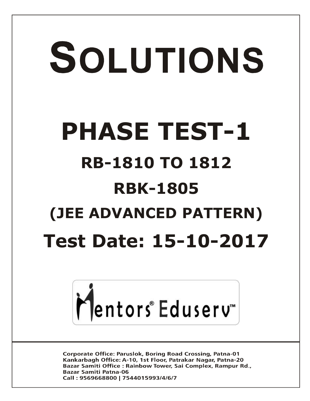# SOLUTIONS **PHASE TEST-1 RB-1810 TO 1812 RBK-1805 (JEE ADVANCED PATTERN) Test Date: 15-10-2017**



**Corporate Office: Paruslok, Boring Road Crossing, Patna-01** Kankarbagh Office: A-10, 1st Floor, Patrakar Nagar, Patna-20 Bazar Samiti Office: Rainbow Tower, Sai Complex, Rampur Rd., **Bazar Samiti Patna-06** Call: 9569668800 | 7544015993/4/6/7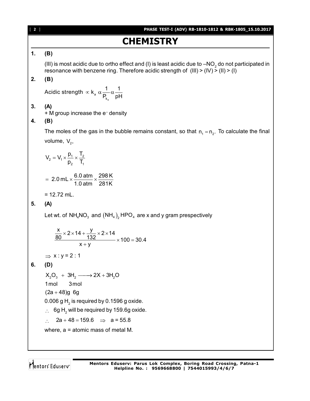# [ **2** ] **PHASE TEST-I (ADV) RB-1810-1812 & RBK-1805\_15.10.2017 CHEMISTRY 1. (B)** (III) is most acidic due to ortho effect and (I) is least acidic due to –NO<sub>2</sub> do not participated in resonance with benzene ring. Therefore acidic strength of  $(HI) > (IV) > (II) > (I)$ **2. (B)** Acidic strength  $\,\propto$  k $_{\rm a}$ a k  $k_a \alpha \frac{1}{2} \alpha \frac{1}{4}$  $P_{k}$  pH  $\alpha$  k<sub>a</sub>  $\alpha - \alpha$ **3. (A)** + M group increase the e – density **4. (B)** The moles of the gas in the bubble remains constant, so that  $n_1 = n_2$ . To calculate the final volume,  $V_2$ ,  $V_2 = V_1 \times \frac{P_1}{P_1} \times \frac{I_2}{T_1}$ 2 1  $V_2 = V_1 \times \frac{p_1}{r} \times \frac{T_2}{r}$  $p_2$  T<sub>1</sub>  $=$   $V_1 \times \frac{P_1}{P_1} \times \frac{P_2}{P_2}$ 2.0 mL  $\times$   $\frac{6.0 \text{ atm}}{4.0 \text{ Hz}} \times \frac{298 \text{ K}}{204 \text{ K}}$ 1.0 atm 281K  $= 2.0$  mL  $\times \frac{3.6 \text{ atm}}{4.8 \text{ atm}} \times \frac{4}{1}$  $= 12.72$  mL. **5. (A)** Let wt. of NH $_4$ NO $_3$  and  $(\mathrm{NH}_{4})_{_2}$ HPO $_4$  are x and y gram prespectively  $\frac{x}{2} \times 2 \times 14 + \frac{y}{122} \times 2 \times 14$ 80 132  $\times 100 = 30.4$  $x + y$  $\times$  2  $\times$  14 +  $\frac{J}{4.22}$   $\times$  2  $\times$  1  $\times$  100 = 3  $^{+}$  $\Rightarrow$  x : y = 2 : 1 **6. (D)**  $X_2O_3 + 3H_2 \longrightarrow 2X + 3H_2O$ 1mol 3mol  $(2a + 48)g$  6g 0.006 g  $\mathsf{H}_2$  is required by 0.1596 g oxide.  $\therefore$  6g H<sub>2</sub> will be required by 159.6g oxide.  $\therefore$  2a + 48 = 159.6  $\Rightarrow$  a = 55.8 where, a = atomic mass of metal M.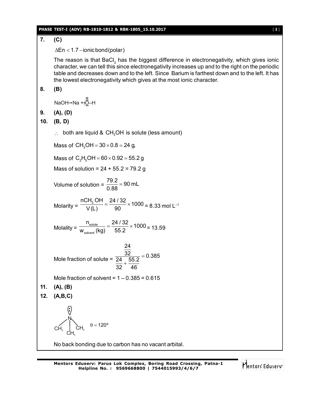### **PHASE TEST-I (ADV) RB-1810-1812 & RBK-1805\_15.10.2017** [ **3** ]

# **7. (C)**  $\Delta$ En < 1.7 – ionic bond (polar) The reason is that BaCl<sub>2</sub> has the biggest difference in electronegativity, which gives ionic character, we can tell this since electronegativity increases up and to the right on the periodic table and decreases down and to the left. Since Barium is farthest down and to the left. It has the lowest electronegativity which gives at the most ionic character. **8. (B)**  $NaOH \rightarrow Na + : \stackrel{\scriptsize \mathbb{Q}}{\Omega} \rightarrow H$ **9. (A), (D) 10. (B, D)**  $\therefore$  both are liquid & CH<sub>3</sub>OH is solute (less amount) Mass of  $CH_3OH = 30 \times 0.8 = 24$  g, Mass of  $C_2H_5OH = 60 \times 0.92 = 55.2 g$ Mass of solution =  $24 + 55.2 = 79.2$  g Volume of solution =  $\frac{79.2}{0.99}$  = 90 mL 0.88  $=$ Molarity =  $\frac{nCH_3OH}{V(1)} = \frac{24/32}{90} \times 1000$  $\frac{3}{\sqrt{(L)}} = \frac{21.62}{90} \times 1000 = 8.33$  mol L<sup>-1</sup> Molality =  $\frac{W_{\text{solute}}}{W_{\text{solvent}}}$  $\frac{n_{\text{solute}}}{n} = \frac{24/32}{75.8} \times 1000$  $\frac{W_{\text{solute}}}{W_{\text{solvent}}(kg)} = \frac{244.782}{55.2} \times 1000 = 13.59$ Mole fraction of solute = 24  $\frac{32}{24}$  55.2 = 0.385 32 46  $=$  $\ddot{}$ Mole fraction of solvent =  $1 - 0.385 = 0.615$ **11. (A), (B) 12. (A,B,C)**  $\mathsf{CH}_3$  $CH_{3}$  $\mathsf{CH}_3$ N  $\theta = 120^{\circ}$ No back bonding due to carbon has no vacant arbital.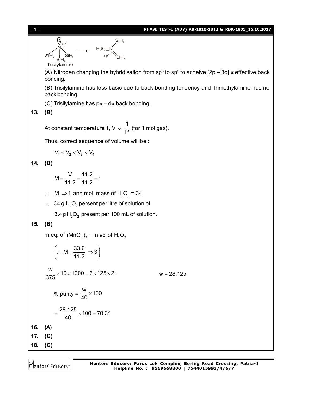

SiH. H<sub>3</sub>Si<u>—N</u>  $Sp<sup>2</sup>$ 

 $SiH<sub>2</sub>$ 

SiH. **Trisilylamine** 

V sp<sup>3</sup><br>M

ŚiH,

 $\mathsf{SiH}_\mathsf{3}$ 

(A) Nitrogen changing the hybridisation from sp<sup>3</sup> to sp<sup>2</sup> to acheive [2p – 3d]  $\pi$  effective back bonding.

(B) Trisilylamine has less basic due to back bonding tendency and Trimethylamine has no back bonding.

(C) Trisilylamine has  $p\pi - d\pi$  back bonding.

# **13. (B)**

At constant temperature T, V  $_{\infty}$ 1  $\frac{1}{P}$  (for 1 mol gas).

Thus, correct sequence of volume will be :

$$
V_1 < V_2 < V_3 < V_4
$$

**14. (B)**

$$
M = \frac{V}{11.2} = \frac{11.2}{11.2} = 1
$$

- $\therefore$  M  $\Rightarrow$  1 and mol. mass of H<sub>2</sub>O<sub>2</sub> = 34
- $\therefore$  34 g H<sub>2</sub>O<sub>2</sub> persent per litre of solution of

3.4g  $H_2O_2$  present per 100 mL of solution.

# **15. (B)**

m.eq. of  $(MnO<sub>4</sub>)<sub>2</sub> = m.eq.$  of  $H<sub>2</sub>O<sub>2</sub>$ 

$$
\left(\therefore M = \frac{33.6}{11.2} \Rightarrow 3\right)
$$
\n
$$
\frac{w}{375} \times 10 \times 1000 = 3 \times 125 \times 2; \qquad w = 28.125
$$
\n
$$
\% \text{ purity} = \frac{w}{40} \times 100
$$
\n
$$
= \frac{28.125}{40} \times 100 = 70.31
$$
\n16. (A)\n17. (C)\n18. (C)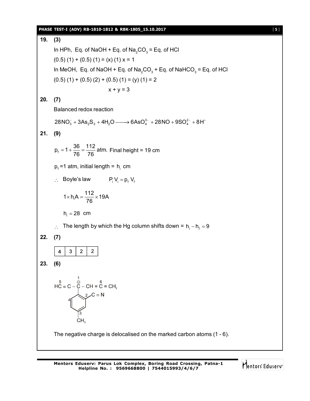### **PHASE TEST-I (ADV) RB-1810-1812 & RBK-1805\_15.10.2017** [ **5** ]

**19. (3)** In HPh, Eq. of NaOH + Eq. of Na $_{2}$ CO $_{3}$  = Eq. of HCl  $(0.5)$   $(1)$  +  $(0.5)$   $(1)$  =  $(x)$   $(1)$  x = 1 In MeOH, Eq. of NaOH + Eq. of Na $_2$ CO $_3$  + Eq. of NaHCO $_3$  = Eq. of HCl  $(0.5)$  $(1)$  +  $(0.5)$  $(2)$  +  $(0.5)$  $(1)$  =  $(y)$  $(1)$  = 2  $x + y = 3$ **20. (7)** Balanced redox reaction  $28NO_3^- + 3As_2S_3 + 4H_2O \longrightarrow 6AsO_4^{3-} + 28NO + 9SO_4^{2-} + 8H^+$ **21. (9)**  $p_f = 1 + \frac{36}{76} = \frac{112}{76}$  atm.  $=1+\frac{36}{76}=\frac{112}{76}$  atm. Final height = 19 cm  $p_{\text{f}}$ =1 atm, initial length =  $h_{\text{i}}$  cm  $\therefore$  Boyle's law  $P_i V_i = p_f V_f$  $1 \times h_i A = \frac{112}{76} \times 19A$  $\times$  h<sub>i</sub>A =  $\frac{1.12}{70}$   $\times$  1 76  $h_i = 28$  cm  $\therefore$  The length by which the Hg column shifts down = h<sub>i</sub> - h<sub>f</sub> = 9 **22. (7)**  $3<sup>1</sup>$  $2 \mid 2$  $\overline{4}$ **23. (6)**  $HC = C - C - CH = C = CH_2$ <br>  $2 - C = N$ CH. The negative charge is delocalised on the marked carbon atoms (1 - 6).

Mentors Eduserv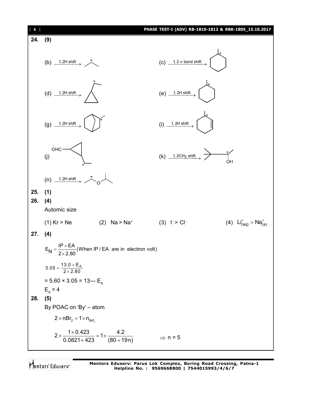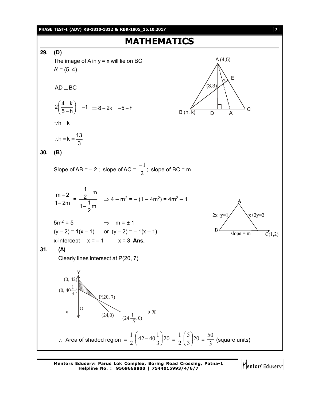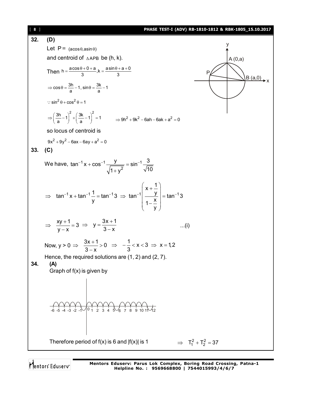

**Mentors Eduserv: Parus Lok Complex, Boring Road Crossing, Patna-1 Helpline No. : 9569668800 | 7544015993/4/6/7**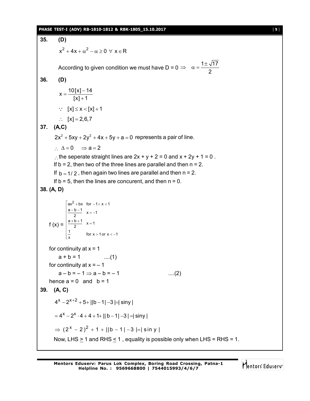### **PHASE TEST-I (ADV) RB-1810-1812 & RBK-1805\_15.10.2017** [ **9** ]

**35. (D)**  $x^2 + 4x + \alpha^2 - \alpha \ge 0 \ \forall \ x \in \mathsf{R}$ According to given condition we must have D = 0  $\Rightarrow$   $\alpha = \frac{1 \pm \sqrt{17}}{2}$  $\Rightarrow \alpha = \frac{1\pm\pi}{2}$ **36. (D)**  $x = \frac{10[x] - 14}{1}$  $[x] + 1$  $=\frac{10[x]-}{x+1}$  $\ddot{}$  $\therefore$  [x]  $\leq$  x  $\leq$  [x] + 1  $\therefore$  [x] = 2,6,7 **37. (A,C)**  $2x^{2} + 5xy + 2y^{2} + 4x + 5y + a = 0$  represents a pair of line.  $\therefore \Delta = 0 \Rightarrow a = 2$ : the seperate straight lines are  $2x + y + 2 = 0$  and  $x + 2y + 1 = 0$ . If  $b = 2$ , then two of the three lines are parallel and then  $n = 2$ . If  $b = 1/2$ , then again two lines are parallel and then  $n = 2$ . If  $b = 5$ , then the lines are concurent, and then  $n = 0$ . **38. (A, D)** f  $(x) =$  $ax^2 + bx$  for  $-1 < x < 1$  $\frac{a-b-1}{2}$  x = -1  $\frac{a+b+1}{2}$  x = 1  $\frac{1}{x}$  for  $x > 1$  or  $x < -1$  $ax^2 + bx$  for  $-1 < x < 1$ <br>  $\frac{a-b-1}{2}$   $x = -1$ <br>  $\frac{a+b+1}{2}$   $x = 1$ <br>  $\frac{1}{x}$  for  $x > 1$  or  $x < -1$ for continuity at  $x = 1$  $a + b = 1$  ....(1) for continuity at  $x = -1$  $a - b = -1 \Rightarrow a - b = -1$  ....(2) hence  $a = 0$  and  $b = 1$ **39. (A, C)**  $4^x - 2^{x+2} + 5 + ||b-1| - 3 = siny$  $x = 4^x - 2^x \cdot 4 + 4 + 1 + ||b - 1| - 3 = siny$  $\Rightarrow$   $(2^{x} - 2)^{2} + 1 + ||b - 1| - 3 = | \sin y |$ Now, LHS  $\geq$  1 and RHS  $\leq$  1, equality is possible only when LHS = RHS = 1.

Mentors Eduserv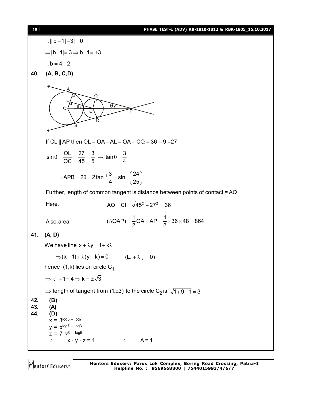### [ **10** ] **PHASE TEST-I (ADV) RB-1810-1812 & RBK-1805\_15.10.2017**

:.  $||b - 1| - 3| = 0$  $\Rightarrow$  | b - 1 | = 3  $\Rightarrow$  b - 1 =  $\pm$ 3  $\therefore$  b = 4, -2 **40. (A, B, C,D)** A B C  $\mathsf Q$ R O P L  $\theta$ If CL || AP then OL = OA – AL = OA – CQ =  $36 - 9 = 27$  $\sin \theta = \frac{\text{OL}}{\text{OC}} = \frac{27}{45} = \frac{3}{5} \implies \tan \theta = \frac{3}{4}$ 4  $\ddot{\cdot}$  $\angle$ APB = 2 $\theta$  = 2tan<sup>-1</sup> $\frac{3}{4}$  = sin<sup>-1</sup> $\left(\frac{24}{25}\right)$ 4 25 Further, length of common tangent is distance between points of contact = AQ Here,  $AQ = Cl = \sqrt{45^2 - 27^2} = 36$ Also, area  $(\triangle OAP) = \frac{1}{2}OA \times AP = \frac{1}{2} \times 36 \times 48 = 864$ **41. (A, D)** We have line  $x + \lambda y = 1 + k\lambda$  $\Rightarrow (x-1) + \lambda (y-k) = 0$  (L<sub>1</sub> +  $\lambda I_2 = 0$ ) hence  $(1,k)$  lies on circle C<sub>1</sub>  $\Rightarrow$  k<sup>2</sup> + 1 = 4  $\Rightarrow$  k =  $\pm \sqrt{3}$  $\Rightarrow$  length of tangent from (1, ±3) to the circle C<sub>2</sub> is  $\sqrt{1 + 9 - 1} = 3$ **42. (B) 43. (A) 44. (D)**  $x = 3^{\log 5 - \log 7}$  $y = 5^{\log 7} - \log 3$  $Z = 7$ log3 – log5  $\therefore$   $x \cdot y \cdot z = 1$   $\therefore$   $A = 1$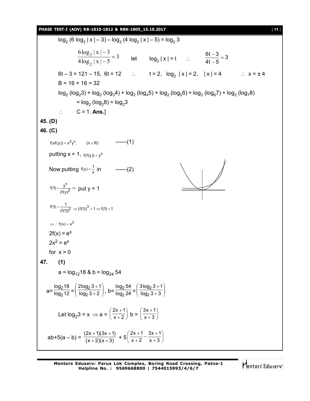### **PHASE TEST-I (ADV) RB-1810-1812 & RBK-1805\_15.10.2017** [ **11** ]

 $log_2 (6 log_2 |x| - 3) - log_2 (4 log_2 |x| - 5) = log_2 3$ 3  $4\log_2 |x| - 5$  $6\log_2 |x| - 3$ 2  $\frac{2^{|\mathbf{A}|}^{|\mathbf{B}|}}{1-\mathbf{B}^{|\mathbf{C}|}}=$  $\overline{\phantom{0}}$  $\overline{\phantom{0}}$ let  $log_2 |x| = t$  :  $\frac{6t-3}{4t-5} = 3$ 4t  $-5$  $\frac{-3}{5}$  =  $\overline{\phantom{a}}$ 6t – 3 = 121 – 15, 6t = 12 t = 2, log<sup>2</sup> | x | = 2, | x | = 4 x = ± 4  $B = 16 + 16 = 32$  $\log_2$  (log<sub>2</sub>3) + log<sub>2</sub> (log<sub>3</sub>4) + log<sub>2</sub> (log<sub>4</sub>5) + log<sub>2</sub> (log<sub>5</sub>6) + log<sub>2</sub> (log<sub>6</sub>7) + log<sub>2</sub> (log<sub>7</sub>8)  $=$   $log_2 (log_2 8) = log_2 3$  $\therefore$  C = 1. **Ans.**] **45. (D) 46. (C)**  $f(xf(y)) = x^2y^n$ , (n  $\in$  R) ------(1) putting  $x = 1$ ,  $f(f(y)) = y^n$ Now putting  $f(y) = \frac{1}{x}$  in ------(2) n 2  $f(1) = \frac{y^{11}}{(f(y)^2)} \Rightarrow$  put y = 1 2  $f(1) = \frac{1}{(f(1))^2} \Rightarrow (f(1))^3 = 1 \Rightarrow f(1) = 1$  $\Rightarrow$  : f(x) = x<sup>2</sup>  $2f(x) = e^x$  $2x^2 = e^x$ for  $x > 0$ **47. (1)** a =  $log_{12}18$  & b =  $log_{24} 54$  $a=\frac{b}{\log_2 12}$ log<sub>2</sub>18 2  $\frac{210}{0.12}$  =  $\left(\frac{2100}{2} \cdot \frac{3+1}{2}\right)$ J  $\mathcal{L}$  $\overline{\phantom{a}}$  $\overline{\mathcal{L}}$ ſ  $^{+}$  $^{+}$  $log_2 3 + 2$  $2log_2 3 + 1$ 2  $\left(\frac{2^{3+1}}{3+2}\right)$ , b= $\frac{\log_2 34}{\log_2 24}$ log<sub>2</sub>54 2  $\frac{2^{34}}{2^{24}} = \left(\frac{3100}{2^{3} + 1}\right)$ J  $\mathcal{L}$  $\overline{\phantom{a}}$  $\overline{\mathcal{L}}$ ſ  $^{+}$  $^{+}$  $log_2 3 + 3$  $3$ log<sub>2</sub>  $3 + 1$ 2 2 Let  $log_2 3 = x \Rightarrow a = \left(\frac{2x+1}{x+2}\right)$  $\left(\frac{2x+1}{2}\right)$  $\backslash$ ſ  $^{+}$  $^{+}$  $x + 2$  $\left(\frac{2x+1}{x+2}\right)$  b =  $\left(\frac{3x+1}{x+3}\right)$  $\left(\frac{3x+1}{2}\right)$  $\overline{\phantom{0}}$ ſ  $^{+}$  $^{+}$  $x + 3$  $3x + 1$ ab+5(a – b) =  $\frac{(2x+1)(3x+1)}{(x+2)(x+3)}$  $(+ 2)(x +$  $+\frac{1}{2}(3x+1)+5\left(\frac{2x+1}{x+2}-\frac{3x+1}{x+3}\right)$  $\left(\frac{2x+1}{x+2}-\frac{3x+1}{x+2}\right)$  $\overline{\phantom{0}}$ ſ  $^{+}$  $\frac{x+1}{+2} - \frac{3x+1}{x+3}$  $^{+}$  $x + 3$  $3x + 1$  $x + 2$  $2x + 1$ 

Mentors Eduserv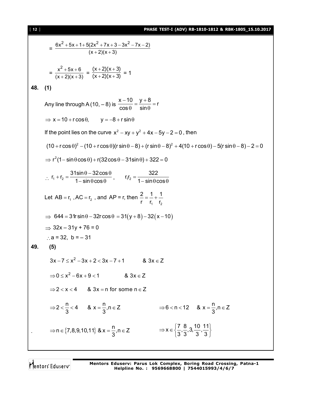# [ **12** ] **PHASE TEST-I (ADV) RB-1810-1812 & RBK-1805\_15.10.2017**

$$
= \frac{6x^2 + 5x + 1 + 5(2x^2 + 7x + 3 - 3x^2 - 7x - 2)}{(x + 2)(x + 3)}
$$
  
\n
$$
= \frac{x^2 + 5x + 6}{(x + 2)(x + 3)} = \frac{(x + 2)(x + 3)}{(x + 2)(x + 3)} = 1
$$
  
\n48. (1)  
\nAny line through A (10, -8) is  $\frac{x - 10}{\cos 0} = \frac{y + 8}{\sin 0} = r$   
\n⇒ x = 10 + r cos θ, y = -8 + r sin θ  
\nIf the point lies on the curve  $x^2 - xy + y^2 + 4x - 5y - 2 = 0$ , then  
\n
$$
(10 + r cos θ)^2 - (10 + r cos θ)(r sin θ – 8) + (r sin θ – 8)^2 + 4(10 + r cos θ) – 5(r sin θ – 8) – 2 = 0
$$
  
\n⇒  $r^2(1 - sin θ cos θ) + r(32 cos θ – 31 sin θ) + 322 = 0$   
\n∴  $r_1 + r_2 = \frac{31 sin θ - 32 cos θ}{1 – sin θ cos θ}$ ,  $r_2 = \frac{322}{1 – sin θ cos θ$   
\nLet AB =  $r_1$ , AC =  $r_2$ , and AP = r, then  $\frac{2}{r} = \frac{1}{r_1} + \frac{1}{r_2}$   
\n⇒ 644 = 31 r sin θ – 32r cos θ = 31(y + 8) – 32(x – 10)  
\n⇒ 32x – 31y + 76 = 0  
\n∴ a = 32, b = – 31  
\n49. (5)  
\n3x – 7 ≤ x<sup>2</sup> – 3x + 2 < 3x – 7 + 1 & 8, 3x ∈ Z  
\n⇒ 0 ≤ x<sup>2</sup> – 6x + 9 < 1 & 8, 3x ∈ Z  
\n⇒ 0 ≤ x<sup>2</sup> – 6x + 9 < 1 & 8, 3x ∈ Z  
\n⇒ 2 < x < 4  
\n⇒ 3x – n for some n ∈ Z  
\n⇒ 2  $\frac{1}{3}$ , n ∈ Z  
\n⇒ n ∈ {7,8,9,10,11} &

Mentors<sup>e</sup> Eduserv<sup>-</sup>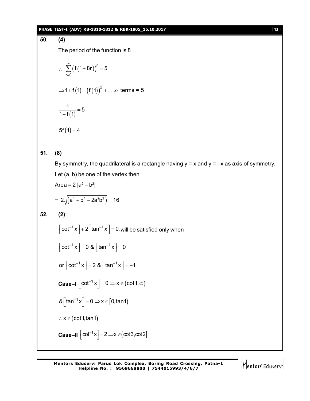### **PHASE TEST-I (ADV) RB-1810-1812 & RBK-1805\_15.10.2017** [ **13** ]

**50. (4)**

The period of the function is 8

$$
\therefore \sum_{r=0}^{\infty} (f(1+8r))^{r} = 5
$$
  
\n⇒ 1+f(1) + (f(1))<sup>2</sup> + ...∞ terms = 5  
\n
$$
\frac{1}{1-f(1)} = 5
$$

 $5f(1) = 4$ 

# **51. (8)**

By symmetry, the quadrilateral is a rectangle having  $y = x$  and  $y = -x$  as axis of symmetry. Let (a, b) be one of the vertex then Area = 2  $|a^2-b^2|$ 

$$
= 2\sqrt{(a^4 + b^4 - 2a^2b^2)} = 16
$$

**52. (2)**

$$
\left[\cot^{-1} x\right] + 2\left[\tan^{-1} x\right] = 0, \text{ will be satisfied only when}
$$

$$
\left[\cot^{-1} x\right] = 0 \& \left[\tan^{-1} x\right] = 0
$$

$$
\text{or } \left[\cot^{-1} x\right] = 2 \& \left[\tan^{-1} x\right] = -1
$$

**Case–I**  $\left[\cot^{-1} x\right] = 0 \Rightarrow x \in (\cot 1, \infty)$ 

$$
& \left[ \tan^{-1} x \right] = 0 \Rightarrow x \in [0, \tan 1)
$$
  
 
$$
\therefore x \in (\cot 1, \tan 1)
$$

$$
\textbf{Case-II} \left[ \text{cot}^{-1} x \right] = 2 \Longrightarrow x \in (\text{cot} 3, \text{cot} 2]
$$

Mentors Eduserv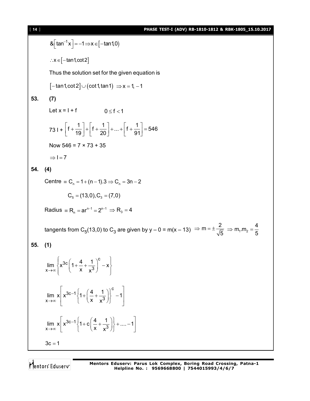**14.1 PIASE TEST-1 (ADV) RB-1810-1812 & RBK-1805\_1510.2017**\n8. [tan<sup>-1</sup>x] = -1 \Rightarrow x \in [-tan1,0012]

\nThus the solution set for the given equation is

\n
$$
[-tan1,cot2] \cup (cot1,tan1) \Rightarrow x = 1, -1
$$

\n**53.** (7)

\nLet  $x = 1 + f$   $0 \le f < 1$ 

\n
$$
731 + \left[f + \frac{1}{19}\right] + \left[f + \frac{1}{20}\right] + ... + \left[f + \frac{1}{91}\right] = 546
$$

\nNow  $546 = 7 \times 73 + 35$ 

\n $\Rightarrow 1 = 7$ 

\n**54.** (4)

\nCentre = C<sub>n</sub> = 1 + (n - 1), 3 \Rightarrow C<sub>n</sub> = 3n - 2

\nC<sub>s</sub> = (13,0), C<sub>s</sub> = (7,0)

\nRadius = R<sub>n</sub> = ar<sup>n-1</sup> = 2<sup>n-1</sup> \Rightarrow R<sub>s</sub> = 4

\ntangents from C<sub>5</sub>(13,0) to C<sub>3</sub> are given by  $y - 0 = m(x - 13) \Rightarrow m = \pm \frac{2}{\sqrt{5}} \Rightarrow m, m_2 = \frac{4}{5}$ 

\n**55.** (1)

\n
$$
\lim_{x \to \infty} \left\{ x^{3c-1} \left\{ 1 + \left( \frac{4}{x} + \frac{1}{x^3} \right)^c - x \right\}
$$
\n
$$
\lim_{x \to \infty} x \left[ x^{3c-1} \left\{ 1 + \left( \frac{4}{x} + \frac{1}{x^3} \right) \right\}^c - 1 \right]
$$

\n3c = 1

Mentors<sup>®</sup> Eduserv<sup>®</sup>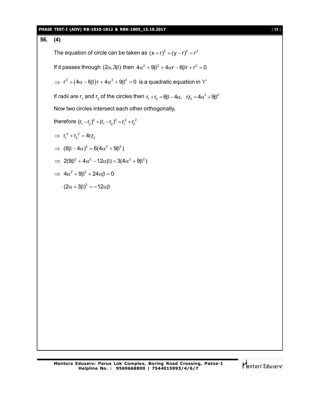### **PHASE TEST-I (ADV) RB-1810-1812 & RBK-1805\_15.10.2017** [ **15** ]

**56. (4)** The equation of circle can be taken as  $(x + r)^2 + (y - r)^2 = r^2$ If it passes through  $(2\alpha,3\beta)$  then  $4\alpha^2 + 9\beta^2 + 4\alpha r - 6\beta r + r^2 = 0$  $\Rightarrow$   $\mathsf{r}^2 + (4\alpha - 6\beta)\mathsf{r} + 4\alpha^2 + 9\beta^2 = 0$  is a quadratic equation in 'r' If radii are  $r_1$  and  $r_2$  of the circles then  $r_1 + r_2 = 6\beta - 4\alpha$ ,  $r_1r_2 = 4\alpha^2 + 9\beta^2$ Now two circles intersect each other orthogonally, therefore  $(r_1 - r_2)^2 + (r_1 - r_2)^2 = r_1^2 + r_2^2$  $\implies r_1^2 + r_2^2 = 4r_1r_2$  $\Rightarrow$   $(6\beta - 4\alpha)^2 = 6(4\alpha^2 + 9\beta^2)$  $\Rightarrow$  2(9 $\beta^2 + 4\alpha^2 - 12\alpha\beta$ ) = 3(4 $\alpha^2 + 9\beta^2$ )  $\Rightarrow$  4 $\alpha^2$  + 9 $\beta^2$  + 24 $\alpha\beta$  = 0  $(2\alpha + 3\beta)^2 = -12\alpha\beta$ 

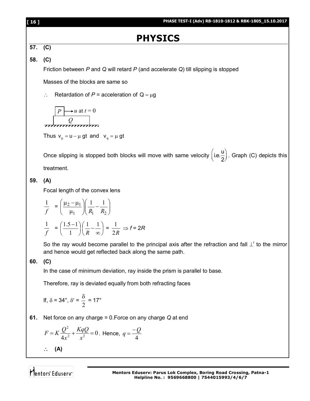| [ 16 ] | PHASE TEST-I (Adv) RB-1810-1812 & RBK-1805_15.10.2017                                                                                                                   |
|--------|-------------------------------------------------------------------------------------------------------------------------------------------------------------------------|
|        | <b>PHYSICS</b>                                                                                                                                                          |
| 57.    | (C)                                                                                                                                                                     |
| 58.    | (C)                                                                                                                                                                     |
|        | Friction between $P$ and $Q$ will retard $P$ (and accelerate $Q$ ) till slipping is stopped                                                                             |
|        | Masses of the blocks are same so                                                                                                                                        |
|        | Retardation of $P =$ acceleration of $Q = \mu g$                                                                                                                        |
|        | $\rightarrow u$ at $t=0$                                                                                                                                                |
|        | Thus $v_p = u - \mu$ gt and $v_q = \mu$ gt                                                                                                                              |
|        | Once slipping is stopped both blocks will move with same velocity $(i.e. \frac{u}{2})$ . Graph (C) depicts this                                                         |
|        | treatment.                                                                                                                                                              |
| 59.    | (A)                                                                                                                                                                     |
|        | Focal length of the convex lens                                                                                                                                         |
|        | $\frac{1}{f} = \left(\frac{\mu_2 - \mu_1}{\mu_1}\right)\left(\frac{1}{R_1} - \frac{1}{R_2}\right)$                                                                      |
|        | $\frac{1}{f} = \left(\frac{1.5-1}{1}\right)\left(\frac{1}{R}-\frac{1}{\infty}\right) = \frac{1}{2R} \Rightarrow f = 2R$                                                 |
|        | So the ray would become parallel to the principal axis after the refraction and fall $\perp^r$ to the mirror<br>and hence would get reflected back along the same path. |
| 60.    | (C)                                                                                                                                                                     |
|        | In the case of minimum deviation, ray inside the prism is parallel to base.                                                                                             |
|        | Therefore, ray is deviated equally from both refracting faces                                                                                                           |
|        | If, $\delta = 34^{\circ}$ , $\delta' = \frac{\delta}{2} = 17^{\circ}$                                                                                                   |
| 61.    | Net force on any charge = $0$ . Force on any charge $Q$ at end                                                                                                          |
|        | $F = K \frac{Q^2}{4x^2} + \frac{KqQ}{x^2} = 0$ . Hence, $q = \frac{-Q}{4}$                                                                                              |
|        | (A)                                                                                                                                                                     |
|        |                                                                                                                                                                         |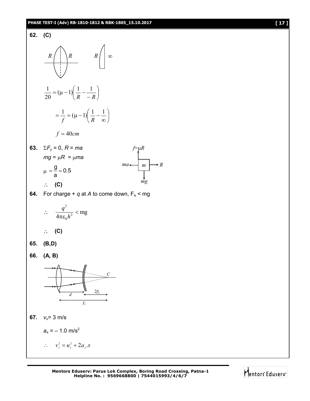### **PHASE TEST-I (Adv) RB-1810-1812 & RBK-1805\_15.10.2017 [ 17 ]**



**Mentors Eduserv: Parus Lok Complex, Boring Road Crossing, Patna-1 Helpline No. : 9569668800 | 7544015993/4/6/7**

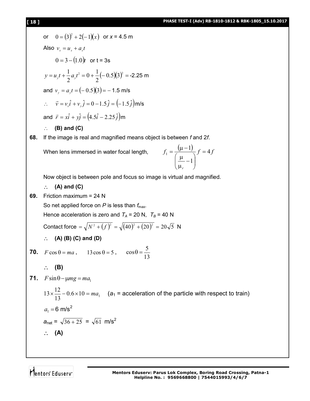# **[ 18 ] PHASE TEST-I (Adv) RB-1810-1812 & RBK-1805\_15.10.2017**

or 
$$
0 = (3)^2 + 2(-1)(x)
$$
 or  $x = 4.5$  m  
\nAlso  $v_x = u_x + a_x t$   
\n $0 = 3 - (1.0)t$  or  $t = 3s$   
\n $y = u_x t + \frac{1}{2} a_x t^2 = 0 + \frac{1}{2} (-0.5)(3)^2 = -2.25$  m  
\nand  $v_y = a_y t = (-0.5)(3) = -1.5$  m/s  
\n $\therefore \vec{v} = v_x \hat{i} + v_y \hat{j} = (0.1.5\hat{j}) = (-1.5\hat{j})$  m/s  
\nand  $\vec{r} = x\hat{i} + y\hat{j} = (4.5\hat{i} - 2.25\hat{j})$ m  
\n $\therefore$  (B) and (C)  
\n88. If the image is real and magnified means object is between *f* and 2*f*.  
\nWhen lens immersed in water focal length,  $f_1 = \frac{(\mu - 1)}{(\mu - 1)} f = 4f$   
\nNow object is between pole and focus so image is virtual and magnified.  
\n $\therefore$  (A) and (C)  
\n89. Friction maximum = 24 N  
\nSo net applied force on *P* is less than  $f_{\text{max}}$ .  
\nHence acceleration is zero and  $T_A = 20$  N,  $T_B = 40$  N  
\nContact force =  $\sqrt{N^2 + (f)^2} = \sqrt{(40)^2 + (20)^2} = 20\sqrt{5}$  N  
\n $\therefore$  (A) (B) (C) and (D)  
\n70.  $F \cos \theta = ma$ ,  $13 \cos \theta = 5$ ,  $\cos \theta = \frac{5}{13}$   
\n $\therefore$  (B)  
\n71.  $F \sin \theta - \mu mg = ma_1$   
\n $13 \times \frac{12}{13} - 0.6 \times 10 = ma_1$  (a<sub>1</sub> = acceleration of the particle with respect to train)  
\n $a_1 = 6$  m/s<sup>2</sup>  
\n $\therefore$  (A)  
\n $\theta = \sqrt{36 + 25} = \sqrt{61}$  m/s<sup>2</sup>

Mentors<sup>e</sup> Eduserv<sup>-</sup>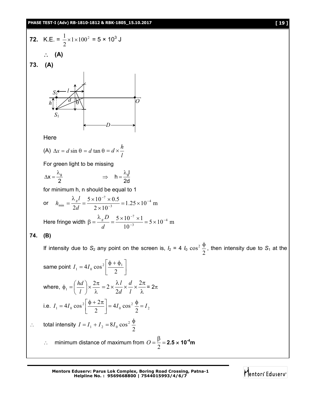# **PHASE TEST-I (Adv) RB-1810-1812 & RBK-1805\_15.10.2017 [ 19 ]**

72. K.E. = 
$$
\frac{1}{2} \times 1 \times 100^2 = 5 \times 10^3
$$
 J  
\n $\therefore$  (A)  
\n73. (A)  
\n75. (A)  
\n $\sqrt{3.5}$   
\n $\sqrt{3.5}$   
\n $\sqrt{3.5}$   
\n $\sqrt{3.5}$   
\nHere  
\n(A)  $\Delta x = d \sin \theta = d \tan \theta = d \times \frac{h}{l}$   
\nFor green light to be missing  
\n $\Delta x = \frac{\lambda_0}{2} \Rightarrow h = \frac{\lambda_d l}{2d}$   
\nfor minimum h, n should be equal to 1  
\nor  $h_{\text{max}} = \frac{\lambda_0 l}{2d} = \frac{5 \times 10^{-7} \times 0.5}{2 \times 10^{-3}} = 1.25 \times 10^{-4} \text{ m}$   
\nHere fringe width  $\beta = \frac{\lambda_0 D}{d} = \frac{5 \times 10^{-7} \times 1}{10^{-3}} = 5 \times 10^{-4} \text{ m}$   
\n74. (B)  
\nIf intensity due to  $S_2$  any point on the screen is,  $I_2 = 4 I_0 \cos^2 \frac{\phi}{2}$ , then intensity due to  $S_1$  at the  
\nsame point  $I_1 = 4I_0 \cos^2 \left(\frac{\phi + \phi_1}{2}\right)$   
\nwhere,  $\phi_1 = \left(\frac{hd}{l}\right) \times \frac{2\pi}{\lambda} = 2 \times \frac{\lambda l}{2d} \times \frac{d}{l} \times \frac{2\pi}{\lambda} = 2\pi$   
\ni.e.  $I_1 = 4I_0 \cos^2 \left(\frac{\phi + 2\pi}{2}\right) = 4I_0 \cos^2 \frac{\phi}{2} = I_2$   
\n $\therefore$  total intensity  $I = I_1 + I_2 = 8I_0 \cos^2 \frac{\phi}{2}$   
\n $\therefore$  minimum distance of maximum from  $O = \frac{B}{2} = 2.5 \times 10^{-4} \text{ m}$ 

**Mentors Eduserv: Parus Lok Complex, Boring Road Crossing, Patna-1 Helpline No. : 9569668800 | 7544015993/4/6/7**

Mentors Eduserv<sup>-</sup>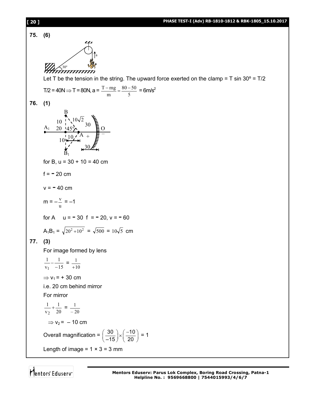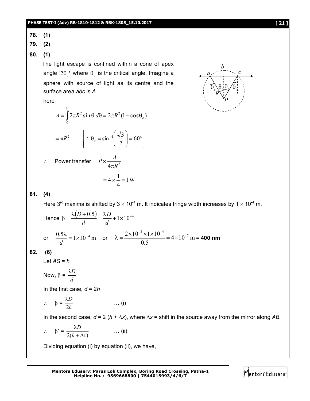**78. (1)**

**79. (2)**

**80. (1)**

 The light escape is confined within a cone of apex angle '2 $\theta_c$ ' where  $\theta_c$  is the critical angle. Imagine a sphere with source of light as its centre and the surface area *abc* is *A*.

here

$$
A = \int_{0}^{\theta_c} 2\pi R^2 \sin \theta \, d\theta = 2\pi R^2 (1 - \cos \theta_c)
$$

$$
= \pi R^2 \qquad \left[ \therefore \theta_c = \sin^{-1} \left( \frac{\sqrt{3}}{2} \right) = 60^{\circ} \right]
$$

 $\begin{bmatrix} 2 & 1 \\ 1 & 1 \end{bmatrix}$ 

 $\setminus$ 

4

$$
\therefore \quad \text{Power transfer} = P \times \frac{A}{4\pi R^2}
$$
\n
$$
= 4 \times \frac{1}{4} = 1 \,\text{W}
$$

L

$$
81. (4)
$$

Here 3<sup>rd</sup> maxima is shifted by 3  $\times$  10<sup>-4</sup> m. It indicates fringe width increases by 1  $\times$  10<sup>-4</sup> m.

 $\rfloor$ 

Hence 
$$
\beta = \frac{\lambda(D + 0.5)}{d} = \frac{\lambda D}{d} + 1 \times 10^{-4}
$$
  
or  $\frac{0.5\lambda}{d} = 1 \times 10^{-4}$  m or  $\lambda = \frac{2 \times 10^{-3} \times 1 \times 10^{-4}}{0.5} = 4 \times 10^{-7}$  m = 400 nm

### **82. (6)**

Let *AS* = *h*

Now, 
$$
\beta = \frac{\lambda D}{d}
$$

In the first case, *d* = 2*h*

$$
\therefore \quad \beta = \frac{\lambda D}{2h} \qquad \qquad \dots (i)
$$

In the second case,  $d = 2 (h + \Delta x)$ , where  $\Delta x =$  shift in the source away from the mirror along AB.

$$
\therefore \quad \beta' = \frac{\lambda D}{2(h + \Delta x)} \quad \dots (ii)
$$

Dividing equation (i) by equation (ii), we have,